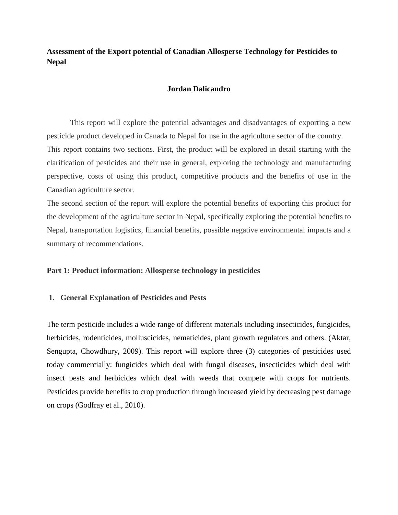**Assessment of the Export potential of Canadian Allosperse Technology for Pesticides to Nepal**

#### **Jordan Dalicandro**

This report will explore the potential advantages and disadvantages of exporting a new pesticide product developed in Canada to Nepal for use in the agriculture sector of the country. This report contains two sections. First, the product will be explored in detail starting with the clarification of pesticides and their use in general, exploring the technology and manufacturing perspective, costs of using this product, competitive products and the benefits of use in the Canadian agriculture sector.

The second section of the report will explore the potential benefits of exporting this product for the development of the agriculture sector in Nepal, specifically exploring the potential benefits to Nepal, transportation logistics, financial benefits, possible negative environmental impacts and a summary of recommendations.

#### **Part 1: Product information: Allosperse technology in pesticides**

#### **1. General Explanation of Pesticides and Pests**

The term pesticide includes a wide range of different materials including insecticides, fungicides, herbicides, rodenticides, molluscicides, nematicides, plant growth regulators and others. (Aktar, Sengupta, Chowdhury, 2009). This report will explore three (3) categories of pesticides used today commercially: fungicides which deal with fungal diseases, insecticides which deal with insect pests and herbicides which deal with weeds that compete with crops for nutrients. Pesticides provide benefits to crop production through increased yield by decreasing pest damage on crops (Godfray et al., 2010).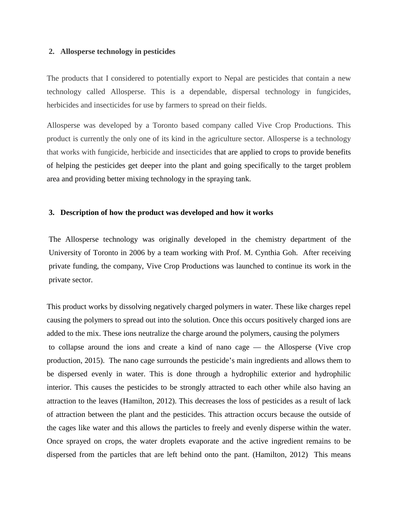#### **2. Allosperse technology in pesticides**

The products that I considered to potentially export to Nepal are pesticides that contain a new technology called Allosperse. This is a dependable, dispersal technology in fungicides, herbicides and insecticides for use by farmers to spread on their fields.

Allosperse was developed by a Toronto based company called Vive Crop Productions. This product is currently the only one of its kind in the agriculture sector. Allosperse is a technology that works with fungicide, herbicide and insecticides that are applied to crops to provide benefits of helping the pesticides get deeper into the plant and going specifically to the target problem area and providing better mixing technology in the spraying tank.

### **3. Description of how the product was developed and how it works**

The Allosperse technology was originally developed in the chemistry department of the University of Toronto in 2006 by a team working with Prof. M. Cynthia Goh. After receiving private funding, the company, Vive Crop Productions was launched to continue its work in the private sector.

This product works by dissolving negatively charged polymers in water. These like charges repel causing the polymers to spread out into the solution. Once this occurs positively charged ions are added to the mix. These ions neutralize the charge around the polymers, causing the polymers to collapse around the ions and create a kind of nano cage — the Allosperse (Vive crop production, 2015). The nano cage surrounds the pesticide's main ingredients and allows them to be dispersed evenly in water. This is done through a hydrophilic exterior and hydrophilic interior. This causes the pesticides to be strongly attracted to each other while also having an attraction to the leaves (Hamilton, 2012). This decreases the loss of pesticides as a result of lack of attraction between the plant and the pesticides. This attraction occurs because the outside of the cages like water and this allows the particles to freely and evenly disperse within the water. Once sprayed on crops, the water droplets evaporate and the active ingredient remains to be dispersed from the particles that are left behind onto the pant. (Hamilton, 2012) This means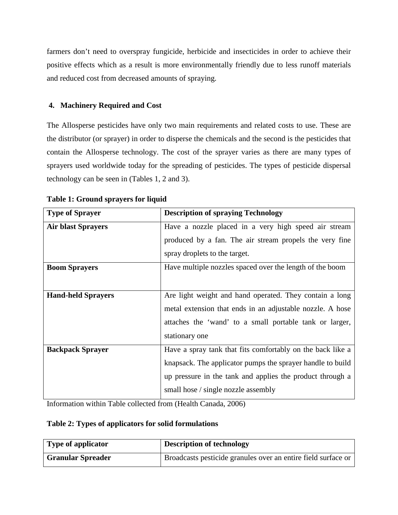farmers don't need to overspray fungicide, herbicide and insecticides in order to achieve their positive effects which as a result is more environmentally friendly due to less runoff materials and reduced cost from decreased amounts of spraying.

### **4. Machinery Required and Cost**

The Allosperse pesticides have only two main requirements and related costs to use. These are the distributor (or sprayer) in order to disperse the chemicals and the second is the pesticides that contain the Allosperse technology. The cost of the sprayer varies as there are many types of sprayers used worldwide today for the spreading of pesticides. The types of pesticide dispersal technology can be seen in (Tables 1, 2 and 3).

| <b>Type of Sprayer</b>    | <b>Description of spraying Technology</b>                  |  |  |  |  |
|---------------------------|------------------------------------------------------------|--|--|--|--|
| <b>Air blast Sprayers</b> | Have a nozzle placed in a very high speed air stream       |  |  |  |  |
|                           | produced by a fan. The air stream propels the very fine    |  |  |  |  |
|                           | spray droplets to the target.                              |  |  |  |  |
| <b>Boom Sprayers</b>      | Have multiple nozzles spaced over the length of the boom   |  |  |  |  |
|                           |                                                            |  |  |  |  |
| <b>Hand-held Sprayers</b> | Are light weight and hand operated. They contain a long    |  |  |  |  |
|                           | metal extension that ends in an adjustable nozzle. A hose  |  |  |  |  |
|                           | attaches the 'wand' to a small portable tank or larger,    |  |  |  |  |
|                           | stationary one                                             |  |  |  |  |
| <b>Backpack Sprayer</b>   | Have a spray tank that fits comfortably on the back like a |  |  |  |  |
|                           | knapsack. The applicator pumps the sprayer handle to build |  |  |  |  |
|                           | up pressure in the tank and applies the product through a  |  |  |  |  |
|                           | small hose / single nozzle assembly                        |  |  |  |  |

**Table 1: Ground sprayers for liquid** 

Information within Table collected from (Health Canada, 2006)

### **Table 2: Types of applicators for solid formulations**

| <b>Type of applicator</b> | <b>Description of technology</b>                              |  |
|---------------------------|---------------------------------------------------------------|--|
| <b>Granular Spreader</b>  | Broadcasts pesticide granules over an entire field surface or |  |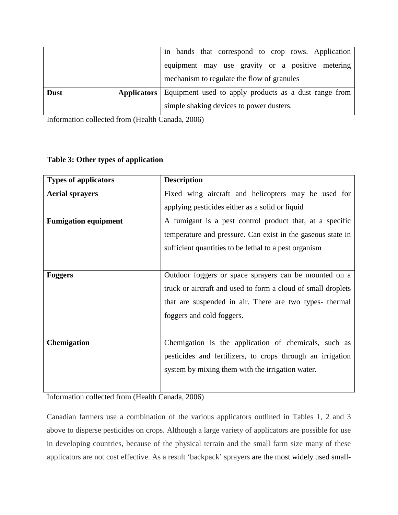|             | in bands that correspond to crop rows. Application                       |  |  |  |  |
|-------------|--------------------------------------------------------------------------|--|--|--|--|
|             | equipment may use gravity or a positive metering                         |  |  |  |  |
|             | mechanism to regulate the flow of granules                               |  |  |  |  |
| <b>Dust</b> | <b>Applicators</b> Equipment used to apply products as a dust range from |  |  |  |  |
|             | simple shaking devices to power dusters.                                 |  |  |  |  |

Information collected from (Health Canada, 2006)

### **Table 3: Other types of application**

| <b>Types of applicators</b> | <b>Description</b>                                           |  |  |  |  |
|-----------------------------|--------------------------------------------------------------|--|--|--|--|
| <b>Aerial sprayers</b>      | Fixed wing aircraft and helicopters may be used for          |  |  |  |  |
|                             | applying pesticides either as a solid or liquid              |  |  |  |  |
| <b>Fumigation equipment</b> | A fumigant is a pest control product that, at a specific     |  |  |  |  |
|                             | temperature and pressure. Can exist in the gaseous state in  |  |  |  |  |
|                             | sufficient quantities to be lethal to a pest organism        |  |  |  |  |
|                             |                                                              |  |  |  |  |
| <b>Foggers</b>              | Outdoor foggers or space sprayers can be mounted on a        |  |  |  |  |
|                             | truck or aircraft and used to form a cloud of small droplets |  |  |  |  |
|                             | that are suspended in air. There are two types- thermal      |  |  |  |  |
|                             | foggers and cold foggers.                                    |  |  |  |  |
|                             |                                                              |  |  |  |  |
| Chemigation                 | Chemigation is the application of chemicals, such as         |  |  |  |  |
|                             | pesticides and fertilizers, to crops through an irrigation   |  |  |  |  |
|                             | system by mixing them with the irrigation water.             |  |  |  |  |
|                             |                                                              |  |  |  |  |

Information collected from (Health Canada, 2006)

Canadian farmers use a combination of the various applicators outlined in Tables 1, 2 and 3 above to disperse pesticides on crops. Although a large variety of applicators are possible for use in developing countries, because of the physical terrain and the small farm size many of these applicators are not cost effective. As a result 'backpack' sprayers are the most widely used small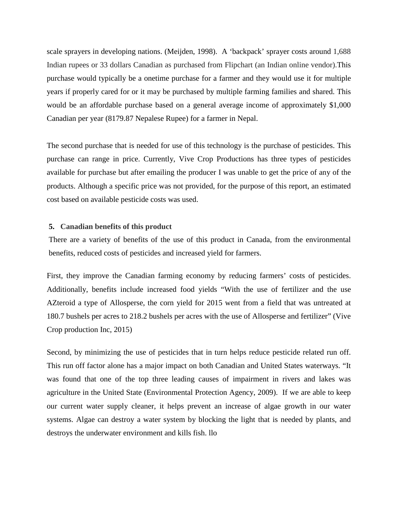scale sprayers in developing nations. (Meijden, 1998). A 'backpack' sprayer costs around 1,688 Indian rupees or 33 dollars Canadian as purchased from Flipchart (an Indian online vendor).This purchase would typically be a onetime purchase for a farmer and they would use it for multiple years if properly cared for or it may be purchased by multiple farming families and shared. This would be an affordable purchase based on a general average income of approximately \$1,000 Canadian per year (8179.87 Nepalese Rupee) for a farmer in Nepal.

The second purchase that is needed for use of this technology is the purchase of pesticides. This purchase can range in price. Currently, Vive Crop Productions has three types of pesticides available for purchase but after emailing the producer I was unable to get the price of any of the products. Although a specific price was not provided, for the purpose of this report, an estimated cost based on available pesticide costs was used.

#### **5. Canadian benefits of this product**

There are a variety of benefits of the use of this product in Canada, from the environmental benefits, reduced costs of pesticides and increased yield for farmers.

First, they improve the Canadian farming economy by reducing farmers' costs of pesticides. Additionally, benefits include increased food yields "With the use of fertilizer and the use AZteroid a type of Allosperse, the corn yield for 2015 went from a field that was untreated at 180.7 bushels per acres to 218.2 bushels per acres with the use of Allosperse and fertilizer" (Vive Crop production Inc, 2015)

Second, by minimizing the use of pesticides that in turn helps reduce pesticide related run off. This run off factor alone has a major impact on both Canadian and United States waterways. "It was found that one of the top three leading causes of impairment in rivers and lakes was agriculture in the United State (Environmental Protection Agency, 2009). If we are able to keep our current water supply cleaner, it helps prevent an increase of algae growth in our water systems. Algae can destroy a water system by blocking the light that is needed by plants, and destroys the underwater environment and kills fish. llo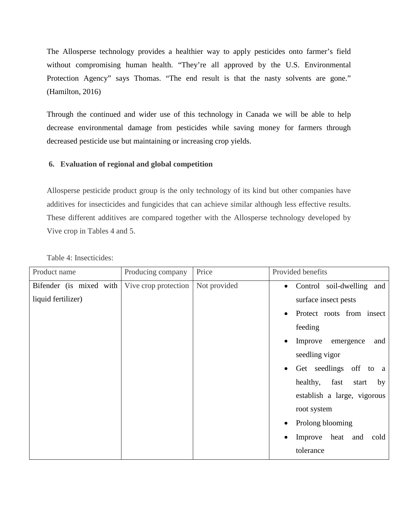The Allosperse technology provides a healthier way to apply pesticides onto farmer's field without compromising human health. "They're all approved by the U.S. Environmental Protection Agency" says Thomas. "The end result is that the nasty solvents are gone." (Hamilton, 2016)

Through the continued and wider use of this technology in Canada we will be able to help decrease environmental damage from pesticides while saving money for farmers through decreased pesticide use but maintaining or increasing crop yields.

### **6. Evaluation of regional and global competition**

Allosperse pesticide product group is the only technology of its kind but other companies have additives for insecticides and fungicides that can achieve similar although less effective results. These different additives are compared together with the Allosperse technology developed by Vive crop in Tables 4 and 5.

| Product name            | Producing company    | Price        | Provided benefits                        |  |
|-------------------------|----------------------|--------------|------------------------------------------|--|
| Bifender (is mixed with | Vive crop protection | Not provided | Control soil-dwelling and<br>$\bullet$   |  |
| liquid fertilizer)      |                      |              | surface insect pests                     |  |
|                         |                      |              | Protect roots from insect<br>$\bullet$   |  |
|                         |                      |              | feeding                                  |  |
|                         |                      |              | Improve<br>and<br>emergence<br>$\bullet$ |  |
|                         |                      |              | seedling vigor                           |  |
|                         |                      |              | Get seedlings off to<br>$\bullet$<br>a a |  |
|                         |                      |              | healthy, fast<br>by<br>start             |  |
|                         |                      |              | establish a large, vigorous              |  |
|                         |                      |              | root system                              |  |
|                         |                      |              | Prolong blooming<br>$\bullet$            |  |
|                         |                      |              | Improve heat and<br>cold<br>٠            |  |
|                         |                      |              | tolerance                                |  |
|                         |                      |              |                                          |  |

Table 4: Insecticides: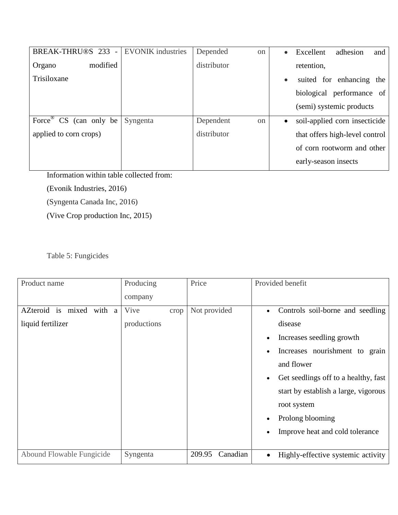| BREAK-THRU®S 233<br>$\sim$ $ \sim$ | <b>EVONIK</b> industries | Depended<br><sub>on</sub>  | Excellent<br>adhesion<br>and<br>$\bullet$  |  |
|------------------------------------|--------------------------|----------------------------|--------------------------------------------|--|
| modified<br>Organo                 |                          | distributor                | retention,                                 |  |
| Trisiloxane                        |                          |                            | suited for enhancing<br>the<br>$\bullet$   |  |
|                                    |                          |                            | biological performance of                  |  |
|                                    |                          |                            | (semi) systemic products                   |  |
| Force $\mathbb{C}S$ (can only be   | Syngenta                 | Dependent<br><sub>on</sub> | soil-applied corn insecticide<br>$\bullet$ |  |
| applied to corn crops)             |                          | distributor                | that offers high-level control             |  |
|                                    |                          |                            | of corn rootworm and other                 |  |
|                                    |                          |                            | early-season insects                       |  |

Information within table collected from:

(Evonik Industries, 2016)

(Syngenta Canada Inc, 2016)

(Vive Crop production Inc, 2015)

Table 5: Fungicides

| Product name              | Producing    | Price              | Provided benefit                                  |  |
|---------------------------|--------------|--------------------|---------------------------------------------------|--|
|                           | company      |                    |                                                   |  |
| AZteroid is mixed with a  | Vive<br>crop | Not provided       | Controls soil-borne and seedling<br>$\bullet$     |  |
| liquid fertilizer         | productions  |                    | disease                                           |  |
|                           |              |                    | Increases seedling growth<br>$\bullet$            |  |
|                           |              |                    | Increases nourishment to grain<br>$\bullet$       |  |
|                           |              |                    | and flower                                        |  |
|                           |              |                    | Get seedlings off to a healthy, fast<br>$\bullet$ |  |
|                           |              |                    | start by establish a large, vigorous              |  |
|                           |              |                    | root system                                       |  |
|                           |              |                    | Prolong blooming<br>$\bullet$                     |  |
|                           |              |                    | Improve heat and cold tolerance<br>٠              |  |
|                           |              |                    |                                                   |  |
| Abound Flowable Fungicide | Syngenta     | Canadian<br>209.95 | Highly-effective systemic activity<br>$\bullet$   |  |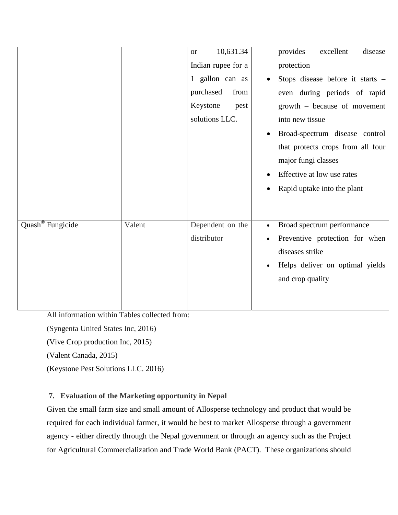|                              |        | 10,631.34<br><b>or</b><br>Indian rupee for a<br>1 gallon can as<br>from<br>purchased<br>Keystone<br>pest<br>solutions LLC. | provides<br>excellent<br>disease<br>protection<br>Stops disease before it starts -<br>even during periods of rapid<br>growth – because of movement<br>into new tissue<br>Broad-spectrum disease control<br>$\bullet$<br>that protects crops from all four<br>major fungi classes<br>Effective at low use rates<br>Rapid uptake into the plant |
|------------------------------|--------|----------------------------------------------------------------------------------------------------------------------------|-----------------------------------------------------------------------------------------------------------------------------------------------------------------------------------------------------------------------------------------------------------------------------------------------------------------------------------------------|
| Quash <sup>®</sup> Fungicide | Valent | Dependent on the<br>distributor                                                                                            | Broad spectrum performance<br>$\bullet$<br>Preventive protection for when<br>diseases strike<br>Helps deliver on optimal yields<br>$\bullet$<br>and crop quality                                                                                                                                                                              |

All information within Tables collected from:

(Syngenta United States Inc, 2016)

(Vive Crop production Inc, 2015)

(Valent Canada, 2015)

(Keystone Pest Solutions LLC. 2016)

# **7. Evaluation of the Marketing opportunity in Nepal**

Given the small farm size and small amount of Allosperse technology and product that would be required for each individual farmer, it would be best to market Allosperse through a government agency - either directly through the Nepal government or through an agency such as the Project for Agricultural Commercialization and Trade World Bank (PACT). These organizations should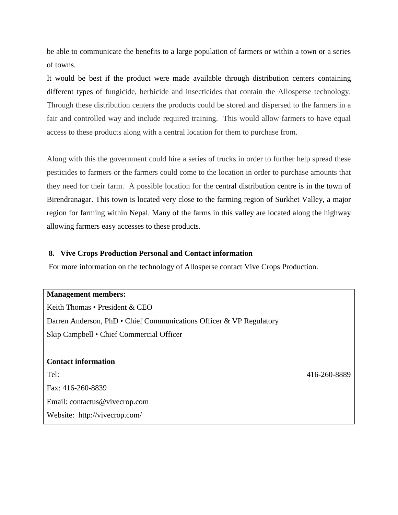be able to communicate the benefits to a large population of farmers or within a town or a series of towns.

It would be best if the product were made available through distribution centers containing different types of fungicide, herbicide and insecticides that contain the Allosperse technology. Through these distribution centers the products could be stored and dispersed to the farmers in a fair and controlled way and include required training. This would allow farmers to have equal access to these products along with a central location for them to purchase from.

Along with this the government could hire a series of trucks in order to further help spread these pesticides to farmers or the farmers could come to the location in order to purchase amounts that they need for their farm. A possible location for the central distribution centre is in the town of Birendranagar. This town is located very close to the farming region of Surkhet Valley, a major region for farming within Nepal. Many of the farms in this valley are located along the highway allowing farmers easy accesses to these products.

### **8. Vive Crops Production Personal and Contact information**

For more information on the technology of Allosperse contact Vive Crops Production.

**Management members:**  Keith Thomas • President & CEO Darren Anderson, PhD • Chief Communications Officer & VP Regulatory Skip Campbell • Chief Commercial Officer **Contact information** 

Tel: 416-260-8889 Fax: 416-260-8839 Email: [contactus@vivecrop.com](mailto:contactus@vivecrop.com) Website: <http://vivecrop.com/>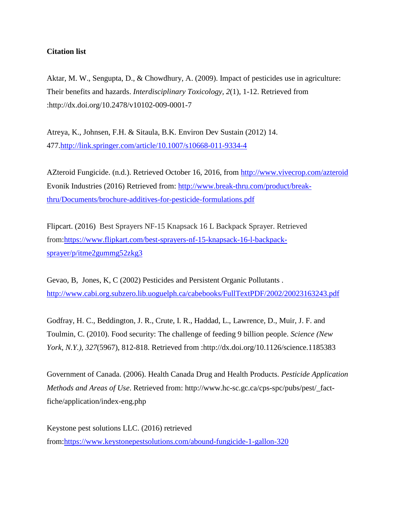### **Citation list**

Aktar, M. W., Sengupta, D., & Chowdhury, A. (2009). Impact of pesticides use in agriculture: Their benefits and hazards. *Interdisciplinary Toxicology, 2*(1), 1-12. Retrieved from :http://dx.doi.org/10.2478/v10102-009-0001-7

Atreya, K., Johnsen, F.H. & Sitaula, B.K. Environ Dev Sustain (2012) 14. 477[.http://link.springer.com/article/10.1007/s10668-011-9334-4](http://link.springer.com/article/10.1007/s10668-011-9334-4)

AZteroid Fungicide. (n.d.). Retrieved October 16, 2016, from<http://www.vivecrop.com/azteroid> Evonik Industries (2016) Retrieved from: [http://www.break-thru.com/product/break](http://www.break-thru.com/product/break-thru/Documents/brochure-additives-for-pesticide-formulations.pdf)[thru/Documents/brochure-additives-for-pesticide-formulations.pdf](http://www.break-thru.com/product/break-thru/Documents/brochure-additives-for-pesticide-formulations.pdf)

Flipcart. (2016) Best Sprayers NF-15 Knapsack 16 L Backpack Sprayer. Retrieved from[:https://www.flipkart.com/best-sprayers-nf-15-knapsack-16-l-backpack](https://www.flipkart.com/best-sprayers-nf-15-knapsack-16-l-backpack-sprayer/p/itme2gummg52zkg3)[sprayer/p/itme2gummg52zkg3](https://www.flipkart.com/best-sprayers-nf-15-knapsack-16-l-backpack-sprayer/p/itme2gummg52zkg3)

Gevao, B, Jones, K, C (2002) Pesticides and Persistent Organic Pollutants . <http://www.cabi.org.subzero.lib.uoguelph.ca/cabebooks/FullTextPDF/2002/20023163243.pdf>

Godfray, H. C., Beddington, J. R., Crute, I. R., Haddad, L., Lawrence, D., Muir, J. F. and Toulmin, C. (2010). Food security: The challenge of feeding 9 billion people. *Science (New York, N.Y.), 327*(5967), 812-818. Retrieved from :http://dx.doi.org/10.1126/science.1185383

Government of Canada. (2006). Health Canada Drug and Health Products. *Pesticide Application Methods and Areas of Use*. Retrieved from: [http://www.hc-sc.gc.ca/cps-spc/pubs/pest/\\_fact](http://www.hc-sc.gc.ca/cps-spc/pubs/pest/_fact-fiche/application/index-eng.php)[fiche/application/index-eng.php](http://www.hc-sc.gc.ca/cps-spc/pubs/pest/_fact-fiche/application/index-eng.php)

Keystone pest solutions LLC. (2016) retrieved from[:https://www.keystonepestsolutions.com/abound-fungicide-1-gallon-320](https://www.keystonepestsolutions.com/abound-fungicide-1-gallon-320)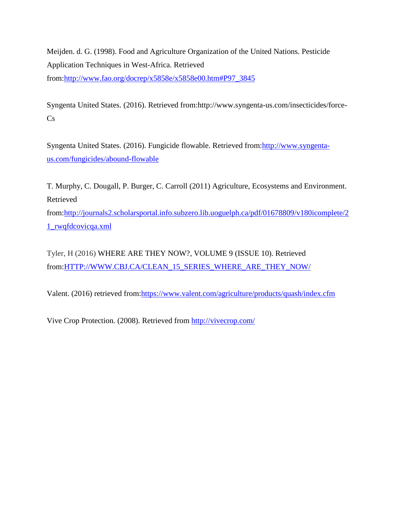Meijden. d. G. (1998). Food and Agriculture Organization of the United Nations. Pesticide Application Techniques in West-Africa. Retrieved from[:http://www.fao.org/docrep/x5858e/x5858e00.htm#P97\\_3845](http://www.fao.org/docrep/x5858e/x5858e00.htm#P97_3845)

Syngenta United States. (2016). Retrieved from:http://www.syngenta-us.com/insecticides/force- $Cs$ 

Syngenta United States. (2016). Fungicide flowable. Retrieved from[:http://www.syngenta](http://www.syngenta-us.com/fungicides/abound-flowable)[us.com/fungicides/abound-flowable](http://www.syngenta-us.com/fungicides/abound-flowable)

T. Murphy, C. Dougall, P. Burger, C. Carroll (2011) Agriculture, Ecosystems and Environment. Retrieved

from[:http://journals2.scholarsportal.info.subzero.lib.uoguelph.ca/pdf/01678809/v180icomplete/2](http://journals2.scholarsportal.info.subzero.lib.uoguelph.ca/pdf/01678809/v180icomplete/21_rwqfdcovicqa.xml) [1\\_rwqfdcovicqa.xml](http://journals2.scholarsportal.info.subzero.lib.uoguelph.ca/pdf/01678809/v180icomplete/21_rwqfdcovicqa.xml)

Tyler, H (2016) WHERE ARE THEY NOW?, VOLUME 9 (ISSUE 10). Retrieved from[:HTTP://WWW.CBJ.CA/CLEAN\\_15\\_SERIES\\_WHERE\\_ARE\\_THEY\\_NOW/](http://www.cbj.ca/clean_15_series_where_are_they_now/)

Valent. (2016) retrieved from[:https://www.valent.com/agriculture/products/quash/index.cfm](https://www.valent.com/agriculture/products/quash/index.cfm)

Vive Crop Protection. (2008). Retrieved from<http://vivecrop.com/>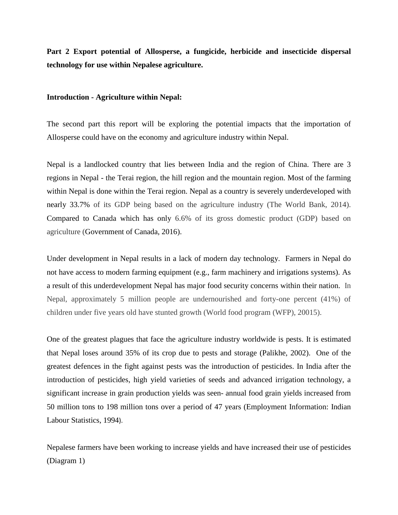**Part 2 Export potential of Allosperse, a fungicide, herbicide and insecticide dispersal technology for use within Nepalese agriculture.**

#### **Introduction - Agriculture within Nepal:**

The second part this report will be exploring the potential impacts that the importation of Allosperse could have on the economy and agriculture industry within Nepal.

Nepal is a landlocked country that lies between India and the region of China. There are 3 regions in Nepal - the Terai region, the hill region and the mountain region. Most of the farming within Nepal is done within the Terai region. Nepal as a country is severely underdeveloped with nearly 33.7% of its GDP being based on the agriculture industry (The World Bank, 2014). Compared to Canada which has only 6.6% of its gross domestic product (GDP) based on agriculture (Government of Canada, 2016).

Under development in Nepal results in a lack of modern day technology. Farmers in Nepal do not have access to modern farming equipment (e.g., farm machinery and irrigations systems). As a result of this underdevelopment Nepal has major food security concerns within their nation. In Nepal, approximately 5 million people are undernourished and forty-one percent (41%) of children under five years old have stunted growth (World food program (WFP), 20015).

One of the greatest plagues that face the agriculture industry worldwide is pests. It is estimated that Nepal loses around 35% of its crop due to pests and storage (Palikhe, 2002). One of the greatest defences in the fight against pests was the introduction of pesticides. In India after the introduction of pesticides, high yield varieties of seeds and advanced irrigation technology, a significant increase in grain production yields was seen- annual food grain yields increased from 50 million tons to 198 million tons over a period of 47 years (Employment Information: Indian Labour Statistics, 1994).

Nepalese farmers have been working to increase yields and have increased their use of pesticides (Diagram 1)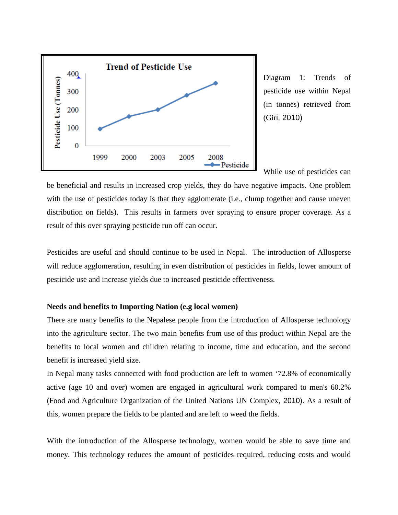

Diagram 1: Trends of pesticide use within Nepal (in tonnes) retrieved from (Giri, 2010)

While use of pesticides can

be beneficial and results in increased crop yields, they do have negative impacts. One problem with the use of pesticides today is that they agglomerate (i.e., clump together and cause uneven distribution on fields). This results in farmers over spraying to ensure proper coverage. As a result of this over spraying pesticide run off can occur.

Pesticides are useful and should continue to be used in Nepal. The introduction of Allosperse will reduce agglomeration, resulting in even distribution of pesticides in fields, lower amount of pesticide use and increase yields due to increased pesticide effectiveness.

#### **Needs and benefits to Importing Nation (e.g local women)**

There are many benefits to the Nepalese people from the introduction of Allosperse technology into the agriculture sector. The two main benefits from use of this product within Nepal are the benefits to local women and children relating to income, time and education, and the second benefit is increased yield size.

In Nepal many tasks connected with food production are left to women '72.8% of economically active (age 10 and over) women are engaged in agricultural work compared to men's 60.2% (Food and Agriculture Organization of the United Nations UN Complex, 2010). As a result of this, women prepare the fields to be planted and are left to weed the fields.

With the introduction of the Allosperse technology, women would be able to save time and money. This technology reduces the amount of pesticides required, reducing costs and would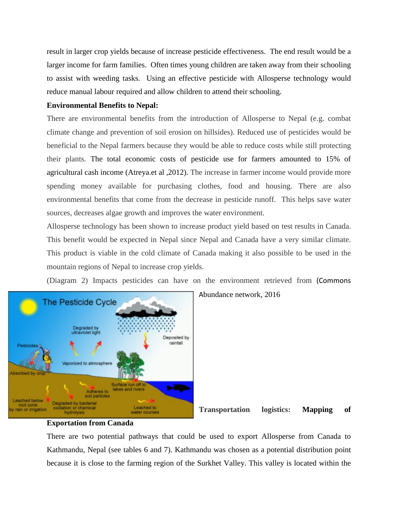result in larger crop yields because of increase pesticide effectiveness. The end result would be a larger income for farm families. Often times young children are taken away from their schooling to assist with weeding tasks. Using an effective pesticide with Allosperse technology would reduce manual labour required and allow children to attend their schooling.

### **Environmental Benefits to Nepal:**

There are environmental benefits from the introduction of Allosperse to Nepal (e.g. combat climate change and prevention of soil erosion on hillsides). Reduced use of pesticides would be beneficial to the Nepal farmers because they would be able to reduce costs while still protecting their plants. The total economic costs of pesticide use for farmers amounted to 15% of agricultural cash income (Atreya.et al ,2012). The increase in farmer income would provide more spending money available for purchasing clothes, food and housing. There are also environmental benefits that come from the decrease in pesticide runoff. This helps save water sources, decreases algae growth and improves the water environment.

Allosperse technology has been shown to increase product yield based on test results in Canada. This benefit would be expected in Nepal since Nepal and Canada have a very similar climate. This product is viable in the cold climate of Canada making it also possible to be used in the mountain regions of Nepal to increase crop yields.

(Diagram 2) Impacts pesticides can have on the environment retrieved from (Commons



Abundance network, 2016

**Transportation logistics: Mapping of** 

### **Exportation from Canada**

There are two potential pathways that could be used to export Allosperse from Canada to Kathmandu, Nepal (see tables 6 and 7). Kathmandu was chosen as a potential distribution point because it is close to the farming region of the Surkhet Valley. This valley is located within the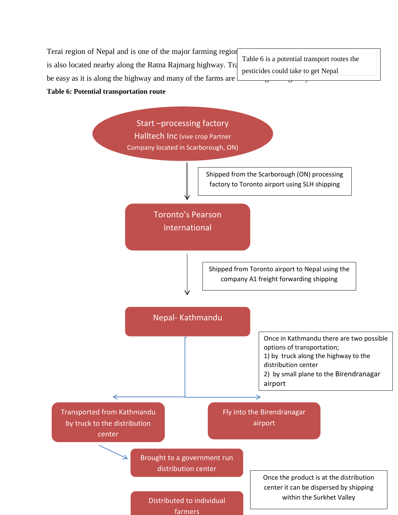Terai region of Nepal and is one of the major farming region is also located nearby along the Ratna Rajmarg highway. Tra be easy as it is along the highway and many of the farms are **Table 6: Potential transportation route**

Table 6 is a potential transport routes the pesticides could take to get Nepal



farmers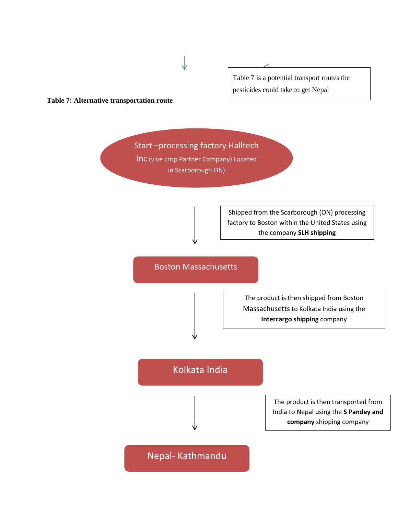

#### **Table 7: Alternative transportation route**

Start –processing factory Halltech Inc (vive crop Partner Company) Located in Scarborough ON)

> Shipped from the Scarborough (ON) processing factory to Boston within the United States using the company **SLH shipping**

Boston Massachusetts

The product is then shipped from Boston Massachusetts to Kolkata India using the **Intercargo shipping** company

# Kolkata India

The product is then transported from India to Nepal using the **S Pandey and company** shipping company

Nepal- Kathmandu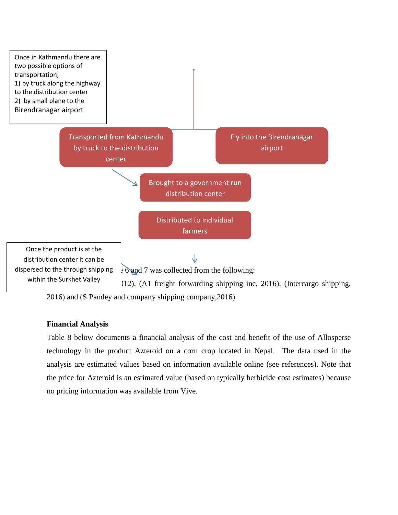

2016) and (S Pandey and company shipping company,2016)

### **Financial Analysis**

Table 8 below documents a financial analysis of the cost and benefit of the use of Allosperse technology in the product Azteroid on a corn crop located in Nepal. The data used in the analysis are estimated values based on information available online (see references). Note that the price for Azteroid is an estimated value (based on typically herbicide cost estimates) because no pricing information was available from Vive.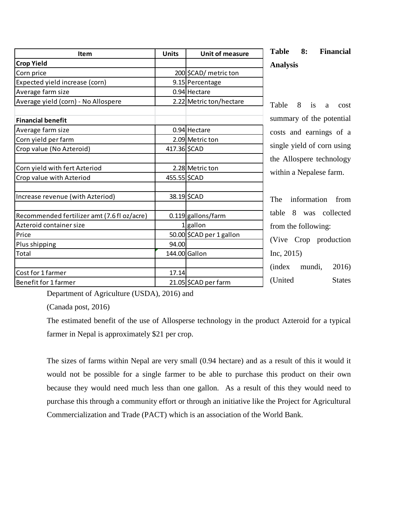| <b>Item</b>                                 | <b>Units</b> | <b>Unit of measure</b>   | <b>Table</b><br>8:     |
|---------------------------------------------|--------------|--------------------------|------------------------|
| <b>Crop Yield</b>                           |              |                          | <b>Analysis</b>        |
| Corn price                                  |              | 200 \$CAD/ metric ton    |                        |
| Expected yield increase (corn)              |              | 9.15 Percentage          |                        |
| Average farm size                           |              | $0.94$ Hectare           |                        |
| Average yield (corn) - No Allospere         |              | 2.22 Metric ton/hectare  | Table<br>8<br>is       |
| <b>Financial benefit</b>                    |              |                          | summary of th          |
| Average farm size                           |              | 0.94 Hectare             | costs and ear.         |
| Corn yield per farm                         |              | 2.09 Metric ton          |                        |
| Crop value (No Azteroid)                    | 417.36 \$CAD |                          | single yield of        |
|                                             |              |                          | the Allospere          |
| Corn yield with fert Azteriod               |              | 2.28 Metric ton          | within a Nepal         |
| Crop value with Azteriod                    | 455.55 \$CAD |                          |                        |
| Increase revenue (with Azteriod)            |              | 38.19 \$CAD              | The<br>informa         |
| Recommended fertilizer amt (7.6 fl oz/acre) |              | $0.119$ gallons/farm     | 8<br>table<br>was      |
| Azteroid container size                     |              | $1$ gallon               | from the folloy        |
| Price                                       |              | 50.00 \$CAD per 1 gallon |                        |
| Plus shipping                               | 94.00        |                          | (Vive Crop             |
| <b>Total</b>                                |              | 144.00 Gallon            | Inc, 2015)             |
| Cost for 1 farmer                           | 17.14        |                          | <i>(index)</i><br>muno |
| Benefit for 1 farmer                        |              | 21.05 \$CAD per farm     | (United                |

**Financial** 

a cost ne potential nings of a corn using technology lese farm.

tion from collected  $\sin g$ :

production

 $di, 2016$ 

**States** 

Department of Agriculture (USDA), 2016) and

(Canada post, 2016)

The estimated benefit of the use of Allosperse technology in the product Azteroid for a typical farmer in Nepal is approximately \$21 per crop.

The sizes of farms within Nepal are very small (0.94 hectare) and as a result of this it would it would not be possible for a single farmer to be able to purchase this product on their own because they would need much less than one gallon. As a result of this they would need to purchase this through a community effort or through an initiative like the Project for Agricultural Commercialization and Trade (PACT) which is an association of the World Bank.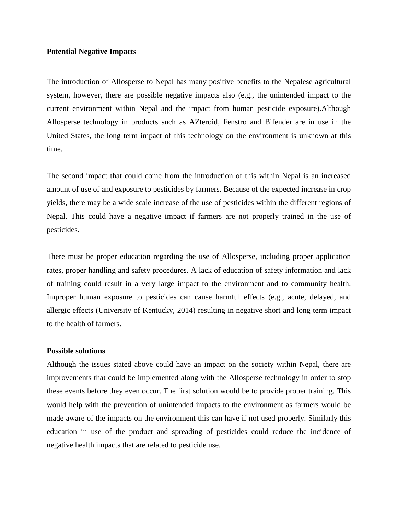#### **Potential Negative Impacts**

The introduction of Allosperse to Nepal has many positive benefits to the Nepalese agricultural system, however, there are possible negative impacts also (e.g., the unintended impact to the current environment within Nepal and the impact from human pesticide exposure).Although Allosperse technology in products such as AZteroid, Fenstro and Bifender are in use in the United States, the long term impact of this technology on the environment is unknown at this time.

The second impact that could come from the introduction of this within Nepal is an increased amount of use of and exposure to pesticides by farmers. Because of the expected increase in crop yields, there may be a wide scale increase of the use of pesticides within the different regions of Nepal. This could have a negative impact if farmers are not properly trained in the use of pesticides.

There must be proper education regarding the use of Allosperse, including proper application rates, proper handling and safety procedures. A lack of education of safety information and lack of training could result in a very large impact to the environment and to community health. Improper human exposure to pesticides can cause harmful effects (e.g., acute, delayed, and allergic effects (University of Kentucky, 2014) resulting in negative short and long term impact to the health of farmers.

#### **Possible solutions**

Although the issues stated above could have an impact on the society within Nepal, there are improvements that could be implemented along with the Allosperse technology in order to stop these events before they even occur. The first solution would be to provide proper training. This would help with the prevention of unintended impacts to the environment as farmers would be made aware of the impacts on the environment this can have if not used properly. Similarly this education in use of the product and spreading of pesticides could reduce the incidence of negative health impacts that are related to pesticide use.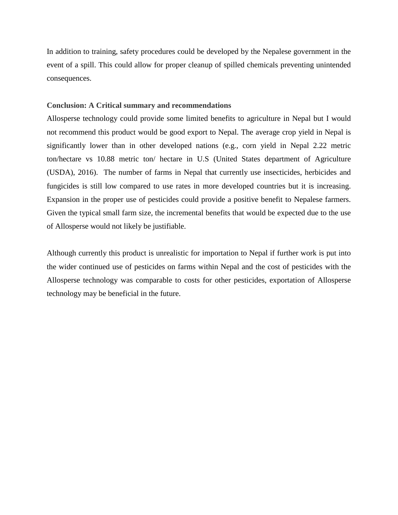In addition to training, safety procedures could be developed by the Nepalese government in the event of a spill. This could allow for proper cleanup of spilled chemicals preventing unintended consequences.

#### **Conclusion: A Critical summary and recommendations**

Allosperse technology could provide some limited benefits to agriculture in Nepal but I would not recommend this product would be good export to Nepal. The average crop yield in Nepal is significantly lower than in other developed nations (e.g., corn yield in Nepal 2.22 metric ton/hectare vs 10.88 metric ton/ hectare in U.S (United States department of Agriculture (USDA), 2016). The number of farms in Nepal that currently use insecticides, herbicides and fungicides is still low compared to use rates in more developed countries but it is increasing. Expansion in the proper use of pesticides could provide a positive benefit to Nepalese farmers. Given the typical small farm size, the incremental benefits that would be expected due to the use of Allosperse would not likely be justifiable.

Although currently this product is unrealistic for importation to Nepal if further work is put into the wider continued use of pesticides on farms within Nepal and the cost of pesticides with the Allosperse technology was comparable to costs for other pesticides, exportation of Allosperse technology may be beneficial in the future.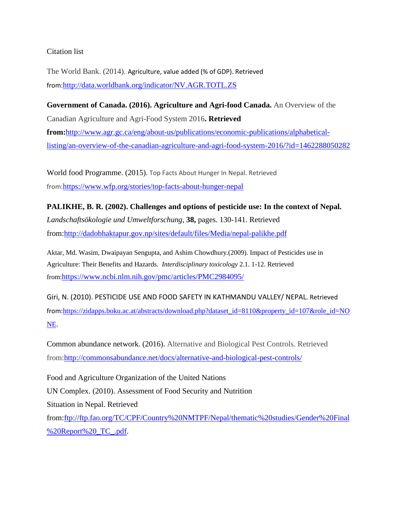### Citation list

The World Bank. (2014). Agriculture, value added (% of GDP). Retrieved from:<http://data.worldbank.org/indicator/NV.AGR.TOTL.ZS>

**Government of Canada. (2016). Agriculture and Agri-food Canada.** An Overview of the Canadian Agriculture and Agri-Food System 2016**. Retrieved from:**[http://www.agr.gc.ca/eng/about-us/publications/economic-publications/alphabetical](http://www.agr.gc.ca/eng/about-us/publications/economic-publications/alphabetical-listing/an-overview-of-the-canadian-agriculture-and-agri-food-system-2016/?id=1462288050282)[listing/an-overview-of-the-canadian-agriculture-and-agri-food-system-2016/?id=1462288050282](http://www.agr.gc.ca/eng/about-us/publications/economic-publications/alphabetical-listing/an-overview-of-the-canadian-agriculture-and-agri-food-system-2016/?id=1462288050282)

World food Programme. (2015). Top Facts About Hunger In Nepal. Retrieved from:<https://www.wfp.org/stories/top-facts-about-hunger-nepal>

# **PALIKHE, B. R. (2002). Challenges and options of pesticide use: In the context of Nepal.**

*Landschaftsökologie und Umweltforschung,* **38,** pages. 130-141. Retrieved from[:http://dadobhaktapur.gov.np/sites/default/files/Media/nepal-palikhe.pdf](http://dadobhaktapur.gov.np/sites/default/files/Media/nepal-palikhe.pdf)

Aktar, Md. Wasim, Dwaipayan Sengupta, and Ashim Chowdhury.(2009). Impact of Pesticides use in Agriculture: Their Benefits and Hazards. *Interdisciplinary toxicology* 2.1. 1-12. Retrieved from[:https://www.ncbi.nlm.nih.gov/pmc/articles/PMC2984095/](https://www.ncbi.nlm.nih.gov/pmc/articles/PMC2984095/)

Giri, N. (2010). PESTICIDE USE AND FOOD SAFETY IN KATHMANDU VALLEY/ NEPAL. Retrieved from:[https://zidapps.boku.ac.at/abstracts/download.php?dataset\\_id=8110&property\\_id=107&role\\_id=NO](https://zidapps.boku.ac.at/abstracts/download.php?dataset_id=8110&property_id=107&role_id=NONE) [NE.](https://zidapps.boku.ac.at/abstracts/download.php?dataset_id=8110&property_id=107&role_id=NONE)

Common abundance network. (2016). Alternative and Biological Pest Controls. Retrieved from[:http://commonsabundance.net/docs/alternative-and-biological-pest-controls/](http://commonsabundance.net/docs/alternative-and-biological-pest-controls/)

Food and Agriculture Organization of the United Nations UN Complex. (2010). Assessment of Food Security and Nutrition Situation in Nepal. Retrieved from[:ftp://ftp.fao.org/TC/CPF/Country%20NMTPF/Nepal/thematic%20studies/Gender%20Final](ftp://ftp.fao.org/TC/CPF/Country%20NMTPF/Nepal/thematic%20studies/Gender%20Final%20Report%20_TC_.pdf) [%20Report%20\\_TC\\_.pdf.](ftp://ftp.fao.org/TC/CPF/Country%20NMTPF/Nepal/thematic%20studies/Gender%20Final%20Report%20_TC_.pdf)